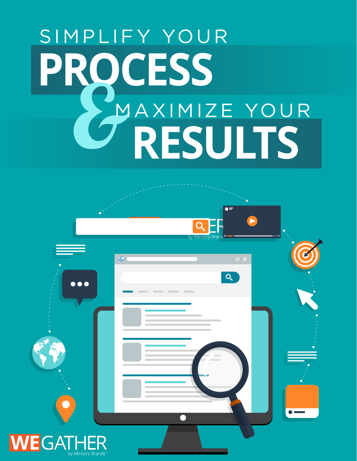# **POCESS<br>PAXIMIZE YOUR**<br>CRESULTS MAXIMIZE YOUR SIMPLIFY YOUR

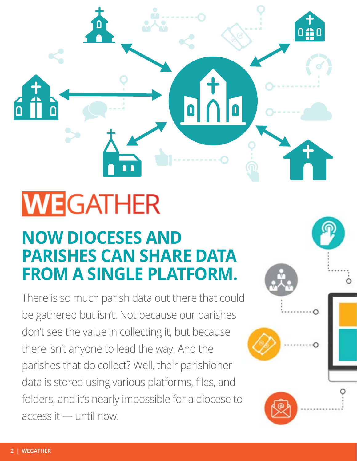## **WEGATHER**

## **NOW DIOCESES AND PARISHES CAN SHARE DATA FROM A SINGLE PLATFORM.**

There is so much parish data out there that could be gathered but isn't. Not because our parishes don't see the value in collecting it, but because there isn't anyone to lead the way. And the parishes that do collect? Well, their parishioner data is stored using various platforms, files, and folders, and it's nearly impossible for a diocese to access it — until now.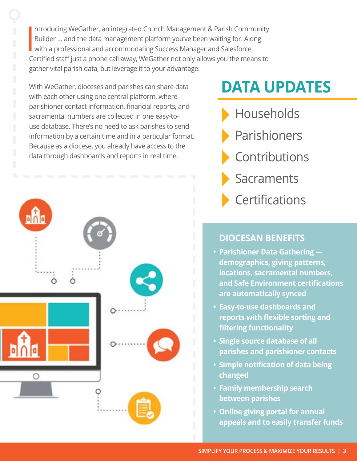**I** ntroducing WeGather, an integrated Church Management & Parish Community Builder … and the data management platform you've been waiting for. Along with a professional and accommodating Success Manager and Salesforce Certified staff just a phone call away, WeGather not only allows you the means to gather vital parish data, but leverage it to your advantage.

With WeGather, dioceses and parishes can share data with each other using one central platform, where parishioner contact information, financial reports, and sacramental numbers are collected in one easy-touse database. There's no need to ask parishes to send information by a certain time and in a particular format. Because as a diocese, you already have access to the data through dashboards and reports in real time.



## **DATA UPDATES**

Households Parishioners Contributions **Sacraments Certifications** 

## **DIOCESAN BENEFITS**

- **• Parishioner Data Gathering demographics, giving patterns, locations, sacramental numbers, and Safe Environment certifications are automatically synced**
- **• Easy-to-use dashboards and reports with flexible sorting and filtering functionality**
- **• Single source database of all parishes and parishioner contacts**
- **• Simple notification of data being changed**
- **• Family membership search between parishes**
- **• Online giving portal for annual appeals and to easily transfer funds**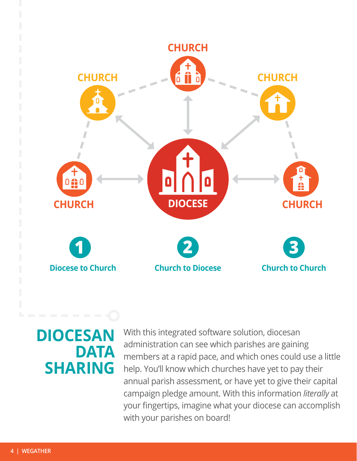

## **DIOCESAN DATA SHARING**

With this integrated software solution, diocesan administration can see which parishes are gaining members at a rapid pace, and which ones could use a little help. You'll know which churches have yet to pay their annual parish assessment, or have yet to give their capital campaign pledge amount. With this information *literally* at your fingertips, imagine what your diocese can accomplish with your parishes on board!